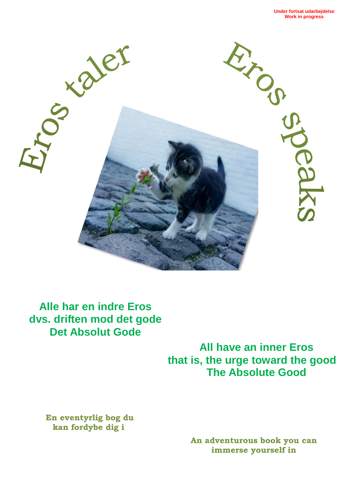

**Alle har en indre Eros dvs. driften mod det gode Det Absolut Gode**

> **All have an inner Eros that is, the urge toward the good The Absolute Good**

**En eventyrlig bog du kan fordybe dig i**

> **An adventurous book you can immerse yourself in**